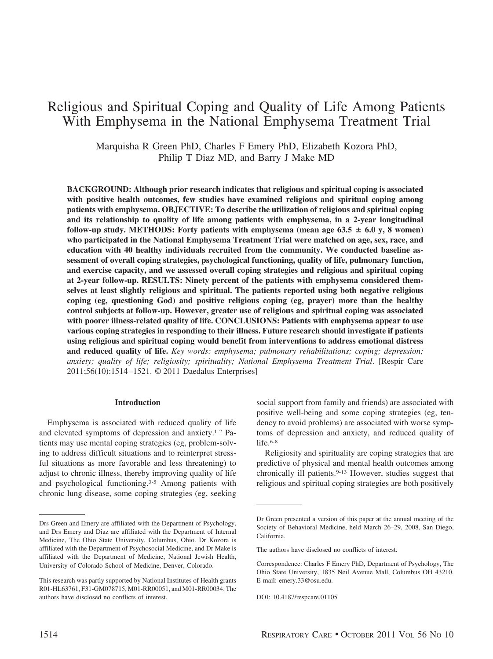# Religious and Spiritual Coping and Quality of Life Among Patients With Emphysema in the National Emphysema Treatment Trial

Marquisha R Green PhD, Charles F Emery PhD, Elizabeth Kozora PhD, Philip T Diaz MD, and Barry J Make MD

**BACKGROUND: Although prior research indicates that religious and spiritual coping is associated with positive health outcomes, few studies have examined religious and spiritual coping among patients with emphysema. OBJECTIVE: To describe the utilization of religious and spiritual coping and its relationship to quality of life among patients with emphysema, in a 2-year longitudinal follow-up study. METHODS:** Forty patients with emphysema (mean age  $63.5 \pm 6.0$  y, 8 women) **who participated in the National Emphysema Treatment Trial were matched on age, sex, race, and education with 40 healthy individuals recruited from the community. We conducted baseline assessment of overall coping strategies, psychological functioning, quality of life, pulmonary function, and exercise capacity, and we assessed overall coping strategies and religious and spiritual coping at 2-year follow-up. RESULTS: Ninety percent of the patients with emphysema considered themselves at least slightly religious and spiritual. The patients reported using both negative religious coping (eg, questioning God) and positive religious coping (eg, prayer) more than the healthy control subjects at follow-up. However, greater use of religious and spiritual coping was associated with poorer illness-related quality of life. CONCLUSIONS: Patients with emphysema appear to use various coping strategies in responding to their illness. Future research should investigate if patients using religious and spiritual coping would benefit from interventions to address emotional distress and reduced quality of life.** *Key words: emphysema; pulmonary rehabilitations; coping; depression; anxiety; quality of life; religiosity; spirituality; National Emphysema Treatment Trial*. [Respir Care 2011;56(10):1514 –1521. © 2011 Daedalus Enterprises]

#### **Introduction**

Emphysema is associated with reduced quality of life and elevated symptoms of depression and anxiety.1-2 Patients may use mental coping strategies (eg, problem-solving to address difficult situations and to reinterpret stressful situations as more favorable and less threatening) to adjust to chronic illness, thereby improving quality of life and psychological functioning.3-5 Among patients with chronic lung disease, some coping strategies (eg, seeking social support from family and friends) are associated with positive well-being and some coping strategies (eg, tendency to avoid problems) are associated with worse symptoms of depression and anxiety, and reduced quality of life. $6-8$ 

Religiosity and spirituality are coping strategies that are predictive of physical and mental health outcomes among chronically ill patients.9-13 However, studies suggest that religious and spiritual coping strategies are both positively

Drs Green and Emery are affiliated with the Department of Psychology, and Drs Emery and Diaz are affiliated with the Department of Internal Medicine, The Ohio State University, Columbus, Ohio. Dr Kozora is affiliated with the Department of Psychosocial Medicine, and Dr Make is affiliated with the Department of Medicine, National Jewish Health, University of Colorado School of Medicine, Denver, Colorado.

This research was partly supported by National Institutes of Health grants R01-HL63761, F31-GM078715, M01-RR00051, and M01-RR00034. The authors have disclosed no conflicts of interest.

Dr Green presented a version of this paper at the annual meeting of the Society of Behavioral Medicine, held March 26–29, 2008, San Diego, California.

The authors have disclosed no conflicts of interest.

Correspondence: Charles F Emery PhD, Department of Psychology, The Ohio State University, 1835 Neil Avenue Mall, Columbus OH 43210. E-mail: emery.33@osu.edu.

DOI: 10.4187/respcare.01105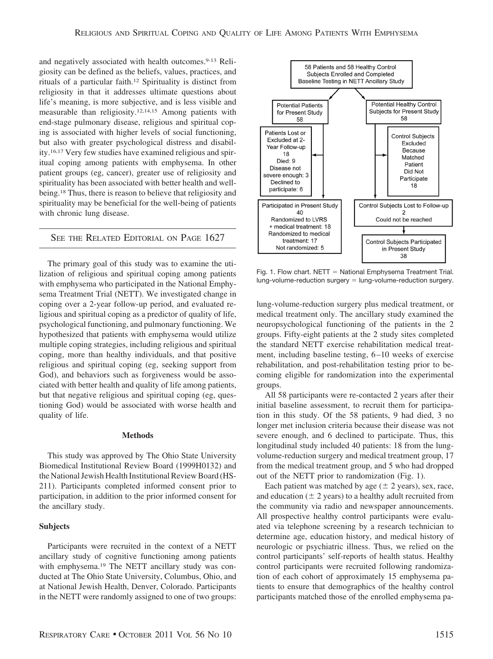and negatively associated with health outcomes.<sup>9-13</sup> Religiosity can be defined as the beliefs, values, practices, and rituals of a particular faith.12 Spirituality is distinct from religiosity in that it addresses ultimate questions about life's meaning, is more subjective, and is less visible and measurable than religiosity.12,14,15 Among patients with end-stage pulmonary disease, religious and spiritual coping is associated with higher levels of social functioning, but also with greater psychological distress and disability.16,17 Very few studies have examined religious and spiritual coping among patients with emphysema. In other patient groups (eg, cancer), greater use of religiosity and spirituality has been associated with better health and wellbeing.18 Thus, there is reason to believe that religiosity and spirituality may be beneficial for the well-being of patients with chronic lung disease.

SEE THE RELATED EDITORIAL ON PAGE 1627

The primary goal of this study was to examine the utilization of religious and spiritual coping among patients with emphysema who participated in the National Emphysema Treatment Trial (NETT). We investigated change in coping over a 2-year follow-up period, and evaluated religious and spiritual coping as a predictor of quality of life, psychological functioning, and pulmonary functioning. We hypothesized that patients with emphysema would utilize multiple coping strategies, including religious and spiritual coping, more than healthy individuals, and that positive religious and spiritual coping (eg, seeking support from God), and behaviors such as forgiveness would be associated with better health and quality of life among patients, but that negative religious and spiritual coping (eg, questioning God) would be associated with worse health and quality of life.

#### **Methods**

This study was approved by The Ohio State University Biomedical Institutional Review Board (1999H0132) and the National Jewish Health Institutional Review Board (HS-211). Participants completed informed consent prior to participation, in addition to the prior informed consent for the ancillary study.

## **Subjects**

Participants were recruited in the context of a NETT ancillary study of cognitive functioning among patients with emphysema.<sup>19</sup> The NETT ancillary study was conducted at The Ohio State University, Columbus, Ohio, and at National Jewish Health, Denver, Colorado. Participants in the NETT were randomly assigned to one of two groups:



Fig. 1. Flow chart. NETT = National Emphysema Treatment Trial. lung-volume-reduction surgery = lung-volume-reduction surgery.

lung-volume-reduction surgery plus medical treatment, or medical treatment only. The ancillary study examined the neuropsychological functioning of the patients in the 2 groups. Fifty-eight patients at the 2 study sites completed the standard NETT exercise rehabilitation medical treatment, including baseline testing, 6 –10 weeks of exercise rehabilitation, and post-rehabilitation testing prior to becoming eligible for randomization into the experimental groups.

All 58 participants were re-contacted 2 years after their initial baseline assessment, to recruit them for participation in this study. Of the 58 patients, 9 had died, 3 no longer met inclusion criteria because their disease was not severe enough, and 6 declined to participate. Thus, this longitudinal study included 40 patients: 18 from the lungvolume-reduction surgery and medical treatment group, 17 from the medical treatment group, and 5 who had dropped out of the NETT prior to randomization (Fig. 1).

Each patient was matched by age  $(\pm 2 \text{ years})$ , sex, race, and education ( $\pm$  2 years) to a healthy adult recruited from the community via radio and newspaper announcements. All prospective healthy control participants were evaluated via telephone screening by a research technician to determine age, education history, and medical history of neurologic or psychiatric illness. Thus, we relied on the control participants' self-reports of health status. Healthy control participants were recruited following randomization of each cohort of approximately 15 emphysema patients to ensure that demographics of the healthy control participants matched those of the enrolled emphysema pa-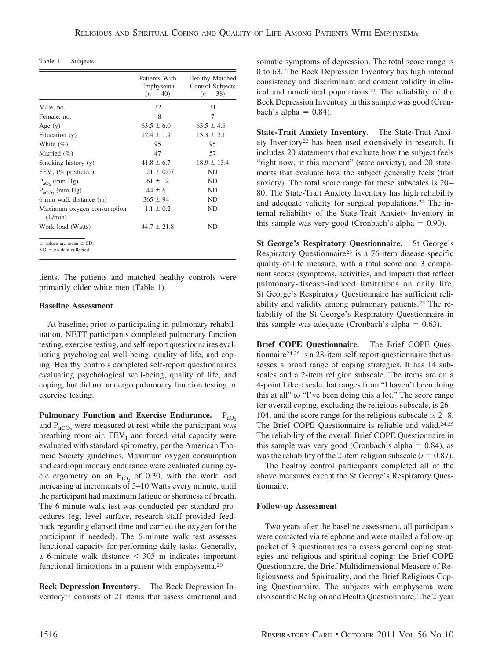Table 1. Subjects

|                                                             | Patients With<br>Emphysema<br>$(n = 40)$ | <b>Healthy Matched</b><br>Control Subjects<br>$(n = 38)$ |
|-------------------------------------------------------------|------------------------------------------|----------------------------------------------------------|
| Male, no.                                                   | 32                                       | 31                                                       |
| Female, no.                                                 | 8                                        | 7                                                        |
| Age $(y)$                                                   | $63.5 \pm 6.0$                           | $63.5 \pm 4.6$                                           |
| Education $(y)$                                             | $12.4 \pm 1.9$                           | $13.3 \pm 2.1$                                           |
| White $(\% )$                                               | 95                                       | 95                                                       |
| Married $(\%)$                                              | 47                                       | 57                                                       |
| Smoking history (y)                                         | $41.8 \pm 6.7$                           | $18.9 \pm 13.4$                                          |
| $FEV_1$ (% predicted)                                       | $21 \pm 0.07$                            | <b>ND</b>                                                |
| $P_{aO}$ (mm Hg)                                            | $61 \pm 12$                              | <b>ND</b>                                                |
| $P_{aCO}$ , (mm Hg)                                         | $44 \pm 6$                               | <b>ND</b>                                                |
| 6-min walk distance (m)                                     | $365 \pm 94$                             | <b>ND</b>                                                |
| Maximum oxygen consumption<br>(L/min)                       | $1.1 \pm 0.2$                            | <b>ND</b>                                                |
| Work load (Watts)                                           | $44.7 \pm 21.8$                          | ND                                                       |
| $\pm$ values are mean $\pm$ SD.<br>$ND = no data collected$ |                                          |                                                          |

tients. The patients and matched healthy controls were primarily older white men (Table 1).

## **Baseline Assessment**

At baseline, prior to participating in pulmonary rehabilitation, NETT participants completed pulmonary function testing, exercise testing, and self-report questionnaires evaluating psychological well-being, quality of life, and coping. Healthy controls completed self-report questionnaires evaluating psychological well-being, quality of life, and coping, but did not undergo pulmonary function testing or exercise testing.

Pulmonary Function and Exercise Endurance. P<sub>aO2</sub> and  $P_{aCO}$ , were measured at rest while the participant was breathing room air.  $FEV<sub>1</sub>$  and forced vital capacity were evaluated with standard spirometry, per the American Thoracic Society guidelines. Maximum oxygen consumption and cardiopulmonary endurance were evaluated during cycle ergometry on an  $F_{IO}$  of 0.30, with the work load increasing at increments of 5–10 Watts every minute, until the participant had maximum fatigue or shortness of breath. The 6-minute walk test was conducted per standard procedures (eg, level surface, research staff provided feedback regarding elapsed time and carried the oxygen for the participant if needed). The 6-minute walk test assesses functional capacity for performing daily tasks. Generally, a 6-minute walk distance  $\leq$  305 m indicates important functional limitations in a patient with emphysema.20

**Beck Depression Inventory.** The Beck Depression Inventory21 consists of 21 items that assess emotional and somatic symptoms of depression. The total score range is 0 to 63. The Beck Depression Inventory has high internal consistency and discriminant and content validity in clinical and nonclinical populations.21 The reliability of the Beck Depression Inventory in this sample was good (Cronbach's alpha  $= 0.84$ ).

**State-Trait Anxiety Inventory.** The State-Trait Anxiety Inventory22 has been used extensively in research. It includes 20 statements that evaluate how the subject feels "right now, at this moment" (state anxiety), and 20 statements that evaluate how the subject generally feels (trait anxiety). The total score range for these subscales is 20 – 80. The State-Trait Anxiety Inventory has high reliability and adequate validity for surgical populations.22 The internal reliability of the State-Trait Anxiety Inventory in this sample was very good (Cronbach's alpha  $= 0.90$ ).

**St George's Respiratory Questionnaire.** St George's Respiratory Questionnaire23 is a 76-item disease-specific quality-of-life measure, with a total score and 3 component scores (symptoms, activities, and impact) that reflect pulmonary-disease-induced limitations on daily life. St George's Respiratory Questionnaire has sufficient reliability and validity among pulmonary patients.23 The reliability of the St George's Respiratory Questionnaire in this sample was adequate (Cronbach's alpha  $= 0.63$ ).

**Brief COPE Questionnaire.** The Brief COPE Questionnaire<sup>24,25</sup> is a 28-item self-report questionnaire that assesses a broad range of coping strategies. It has 14 subscales and a 2-item religion subscale. The items are on a 4-point Likert scale that ranges from "I haven't been doing this at all" to "I've been doing this a lot." The score range for overall coping, excluding the religious subscale, is 26 – 104, and the score range for the religious subscale is 2– 8. The Brief COPE Questionnaire is reliable and valid.24,25 The reliability of the overall Brief COPE Questionnaire in this sample was very good (Cronbach's alpha  $= 0.84$ ), as was the reliability of the 2-item religion subscale  $(r = 0.87)$ .

The healthy control participants completed all of the above measures except the St George's Respiratory Questionnaire.

## **Follow-up Assessment**

Two years after the baseline assessment, all participants were contacted via telephone and were mailed a follow-up packet of 3 questionnaires to assess general coping strategies and religious and spiritual coping: the Brief COPE Questionnaire, the Brief Multidimensional Measure of Religiousness and Spirituality, and the Brief Religious Coping Questionnaire. The subjects with emphysema were also sent the Religion and Health Questionnaire. The 2-year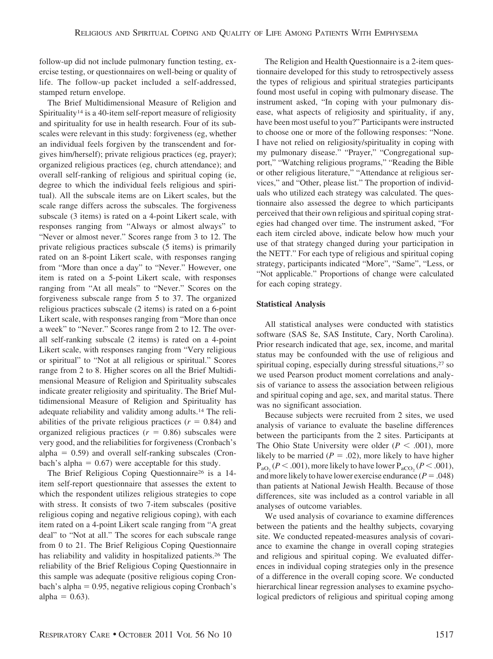follow-up did not include pulmonary function testing, exercise testing, or questionnaires on well-being or quality of life. The follow-up packet included a self-addressed, stamped return envelope.

The Brief Multidimensional Measure of Religion and Spirituality<sup>14</sup> is a 40-item self-report measure of religiosity and spirituality for use in health research. Four of its subscales were relevant in this study: forgiveness (eg, whether an individual feels forgiven by the transcendent and forgives him/herself); private religious practices (eg, prayer); organized religious practices (eg, church attendance); and overall self-ranking of religious and spiritual coping (ie, degree to which the individual feels religious and spiritual). All the subscale items are on Likert scales, but the scale range differs across the subscales. The forgiveness subscale (3 items) is rated on a 4-point Likert scale, with responses ranging from "Always or almost always" to "Never or almost never." Scores range from 3 to 12. The private religious practices subscale (5 items) is primarily rated on an 8-point Likert scale, with responses ranging from "More than once a day" to "Never." However, one item is rated on a 5-point Likert scale, with responses ranging from "At all meals" to "Never." Scores on the forgiveness subscale range from 5 to 37. The organized religious practices subscale (2 items) is rated on a 6-point Likert scale, with responses ranging from "More than once a week" to "Never." Scores range from 2 to 12. The overall self-ranking subscale (2 items) is rated on a 4-point Likert scale, with responses ranging from "Very religious or spiritual" to "Not at all religious or spiritual." Scores range from 2 to 8. Higher scores on all the Brief Multidimensional Measure of Religion and Spirituality subscales indicate greater religiosity and spirituality. The Brief Multidimensional Measure of Religion and Spirituality has adequate reliability and validity among adults.14 The reliabilities of the private religious practices  $(r = 0.84)$  and organized religious practices  $(r = 0.86)$  subscales were very good, and the reliabilities for forgiveness (Cronbach's  $alpha = 0.59$ ) and overall self-ranking subscales (Cron- $\text{bach's alpha} = 0.67$  were acceptable for this study.

The Brief Religious Coping Questionnaire<sup>26</sup> is a 14item self-report questionnaire that assesses the extent to which the respondent utilizes religious strategies to cope with stress. It consists of two 7-item subscales (positive religious coping and negative religious coping), with each item rated on a 4-point Likert scale ranging from "A great deal" to "Not at all." The scores for each subscale range from 0 to 21. The Brief Religious Coping Questionnaire has reliability and validity in hospitalized patients.<sup>26</sup> The reliability of the Brief Religious Coping Questionnaire in this sample was adequate (positive religious coping Cronbach's alpha - 0.95, negative religious coping Cronbach's  $alpha = 0.63$ ).

The Religion and Health Questionnaire is a 2-item questionnaire developed for this study to retrospectively assess the types of religious and spiritual strategies participants found most useful in coping with pulmonary disease. The instrument asked, "In coping with your pulmonary disease, what aspects of religiosity and spirituality, if any, have been most useful to you?" Participants were instructed to choose one or more of the following responses: "None. I have not relied on religiosity/spirituality in coping with my pulmonary disease." "Prayer," "Congregational support," "Watching religious programs," "Reading the Bible or other religious literature," "Attendance at religious services," and "Other, please list." The proportion of individuals who utilized each strategy was calculated. The questionnaire also assessed the degree to which participants perceived that their own religious and spiritual coping strategies had changed over time. The instrument asked, "For each item circled above, indicate below how much your use of that strategy changed during your participation in the NETT." For each type of religious and spiritual coping strategy, participants indicated "More", "Same", "Less, or "Not applicable." Proportions of change were calculated for each coping strategy.

## **Statistical Analysis**

All statistical analyses were conducted with statistics software (SAS 8e, SAS Institute, Cary, North Carolina). Prior research indicated that age, sex, income, and marital status may be confounded with the use of religious and spiritual coping, especially during stressful situations,<sup>27</sup> so we used Pearson product moment correlations and analysis of variance to assess the association between religious and spiritual coping and age, sex, and marital status. There was no significant association.

Because subjects were recruited from 2 sites, we used analysis of variance to evaluate the baseline differences between the participants from the 2 sites. Participants at The Ohio State University were older  $(P \le 0.001)$ , more likely to be married ( $P = .02$ ), more likely to have higher  $P_{aO_2}(P < .001)$ , more likely to have lower  $P_{aCO_2}(P < .001)$ , and more likely to have lower exercise endurance  $(P = .048)$ than patients at National Jewish Health. Because of those differences, site was included as a control variable in all analyses of outcome variables.

We used analysis of covariance to examine differences between the patients and the healthy subjects, covarying site. We conducted repeated-measures analysis of covariance to examine the change in overall coping strategies and religious and spiritual coping. We evaluated differences in individual coping strategies only in the presence of a difference in the overall coping score. We conducted hierarchical linear regression analyses to examine psychological predictors of religious and spiritual coping among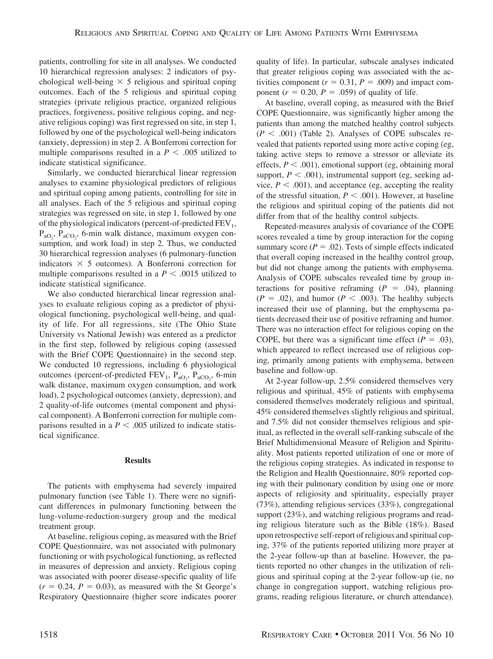patients, controlling for site in all analyses. We conducted 10 hierarchical regression analyses: 2 indicators of psychological well-being  $\times$  5 religious and spiritual coping outcomes. Each of the 5 religious and spiritual coping strategies (private religious practice, organized religious practices, forgiveness, positive religious coping, and negative religious coping) was first regressed on site, in step 1, followed by one of the psychological well-being indicators (anxiety, depression) in step 2. A Bonferroni correction for multiple comparisons resulted in a  $P < .005$  utilized to indicate statistical significance.

Similarly, we conducted hierarchical linear regression analyses to examine physiological predictors of religious and spiritual coping among patients, controlling for site in all analyses. Each of the 5 religious and spiritual coping strategies was regressed on site, in step 1, followed by one of the physiological indicators (percent-of-predicted  $FEV<sub>1</sub>$ ,  $P_{aO_2}$ ,  $P_{aCO_2}$ , 6-min walk distance, maximum oxygen consumption, and work load) in step 2. Thus, we conducted 30 hierarchical regression analyses (6 pulmonary-function indicators  $\times$  5 outcomes). A Bonferroni correction for multiple comparisons resulted in a  $P < .0015$  utilized to indicate statistical significance.

We also conducted hierarchical linear regression analyses to evaluate religious coping as a predictor of physiological functioning, psychological well-being, and quality of life. For all regressions, site (The Ohio State University vs National Jewish) was entered as a predictor in the first step, followed by religious coping (assessed with the Brief COPE Questionnaire) in the second step. We conducted 10 regressions, including 6 physiological outcomes (percent-of-predicted  $FEV_1$ ,  $P_{aO_2}$ ,  $P_{aCO_2}$ , 6-min walk distance, maximum oxygen consumption, and work load), 2 psychological outcomes (anxiety, depression), and 2 quality-of-life outcomes (mental component and physical component). A Bonferroni correction for multiple comparisons resulted in a  $P < .005$  utilized to indicate statistical significance.

#### **Results**

The patients with emphysema had severely impaired pulmonary function (see Table 1). There were no significant differences in pulmonary functioning between the lung-volume-reduction-surgery group and the medical treatment group.

At baseline, religious coping, as measured with the Brief COPE Questionnaire, was not associated with pulmonary functioning or with psychological functioning, as reflected in measures of depression and anxiety. Religious coping was associated with poorer disease-specific quality of life  $(r = 0.24, P = 0.03)$ , as measured with the St George's Respiratory Questionnaire (higher score indicates poorer

quality of life). In particular, subscale analyses indicated that greater religious coping was associated with the activities component ( $r = 0.31$ ,  $P = .009$ ) and impact component  $(r = 0.20, P = .059)$  of quality of life.

At baseline, overall coping, as measured with the Brief COPE Questionnaire, was significantly higher among the patients than among the matched healthy control subjects  $(P < .001)$  (Table 2). Analyses of COPE subscales revealed that patients reported using more active coping (eg, taking active steps to remove a stressor or alleviate its effects,  $P < .001$ ), emotional support (eg, obtaining moral support,  $P < .001$ ), instrumental support (eg, seeking advice,  $P < .001$ ), and acceptance (eg, accepting the reality of the stressful situation,  $P < .001$ ). However, at baseline the religious and spiritual coping of the patients did not differ from that of the healthy control subjects.

Repeated-measures analysis of covariance of the COPE scores revealed a time by group interaction for the coping summary score ( $P = .02$ ). Tests of simple effects indicated that overall coping increased in the healthy control group, but did not change among the patients with emphysema. Analysis of COPE subscales revealed time by group interactions for positive reframing  $(P = .04)$ , planning  $(P = .02)$ , and humor  $(P < .003)$ . The healthy subjects increased their use of planning, but the emphysema patients decreased their use of positive reframing and humor. There was no interaction effect for religious coping on the COPE, but there was a significant time effect  $(P = .03)$ , which appeared to reflect increased use of religious coping, primarily among patients with emphysema, between baseline and follow-up.

At 2-year follow-up, 2.5% considered themselves very religious and spiritual, 45% of patients with emphysema considered themselves moderately religious and spiritual, 45% considered themselves slightly religious and spiritual, and 7.5% did not consider themselves religious and spiritual, as reflected in the overall self-ranking subscale of the Brief Multidimensional Measure of Religion and Spirituality. Most patients reported utilization of one or more of the religious coping strategies. As indicated in response to the Religion and Health Questionnaire, 80% reported coping with their pulmonary condition by using one or more aspects of religiosity and spirituality, especially prayer (73%), attending religious services (33%), congregational support (23%), and watching religious programs and reading religious literature such as the Bible (18%). Based upon retrospective self-report of religious and spiritual coping, 37% of the patients reported utilizing more prayer at the 2-year follow-up than at baseline. However, the patients reported no other changes in the utilization of religious and spiritual coping at the 2-year follow-up (ie, no change in congregation support, watching religious programs, reading religious literature, or church attendance).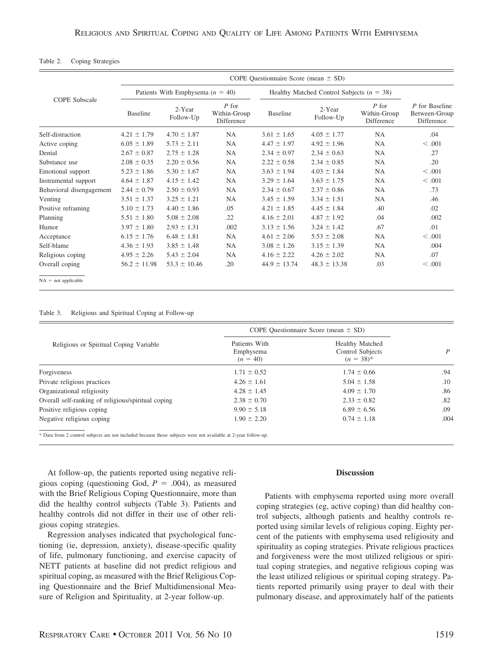|                          | COPE Questionnaire Score (mean $\pm$ SD) |                     |                                       |                                               |                     |                                       |                                               |
|--------------------------|------------------------------------------|---------------------|---------------------------------------|-----------------------------------------------|---------------------|---------------------------------------|-----------------------------------------------|
| <b>COPE</b> Subscale     | Patients With Emphysema $(n = 40)$       |                     |                                       | Healthy Matched Control Subjects ( $n = 38$ ) |                     |                                       |                                               |
|                          | Baseline                                 | 2-Year<br>Follow-Up | $P$ for<br>Within-Group<br>Difference | <b>Baseline</b>                               | 2-Year<br>Follow-Up | $P$ for<br>Within-Group<br>Difference | P for Baseline<br>Between-Group<br>Difference |
| Self-distraction         | $4.21 \pm 1.79$                          | $4.70 \pm 1.87$     | NA                                    | $3.61 \pm 1.65$                               | $4.05 \pm 1.77$     | <b>NA</b>                             | .04                                           |
| Active coping            | $6.05 \pm 1.89$                          | $5.73 \pm 2.11$     | NA                                    | $4.47 \pm 1.97$                               | $4.92 \pm 1.96$     | <b>NA</b>                             | < .001                                        |
| Denial                   | $2.67 \pm 0.87$                          | $2.75 \pm 1.28$     | <b>NA</b>                             | $2.34 \pm 0.97$                               | $2.34 \pm 0.63$     | <b>NA</b>                             | .27                                           |
| Substance use            | $2.08 \pm 0.35$                          | $2.20 \pm 0.56$     | NA.                                   | $2.22 \pm 0.58$                               | $2.34 \pm 0.85$     | <b>NA</b>                             | .20                                           |
| Emotional support        | $5.23 \pm 1.86$                          | $5.30 \pm 1.67$     | NA                                    | $3.63 \pm 1.94$                               | $4.03 \pm 1.84$     | <b>NA</b>                             | < .001                                        |
| Instrumental support     | $4.64 \pm 1.87$                          | $4.15 \pm 1.42$     | <b>NA</b>                             | $3.29 \pm 1.64$                               | $3.63 \pm 1.75$     | <b>NA</b>                             | < .001                                        |
| Behavioral disengagement | $2.44 \pm 0.79$                          | $2.50 \pm 0.93$     | <b>NA</b>                             | $2.34 \pm 0.67$                               | $2.37 \pm 0.86$     | <b>NA</b>                             | .73                                           |
| Venting                  | $3.51 \pm 1.37$                          | $3.25 \pm 1.21$     | NA                                    | $3.45 \pm 1.59$                               | $3.34 \pm 1.51$     | <b>NA</b>                             | .46                                           |
| Positive reframing       | $5.10 \pm 1.73$                          | $4.40 \pm 1.86$     | .05                                   | $4.21 \pm 1.85$                               | $4.45 \pm 1.84$     | .40                                   | .02                                           |
| Planning                 | $5.51 \pm 1.80$                          | $5.08 \pm 2.08$     | .22                                   | $4.16 \pm 2.01$                               | $4.87 \pm 1.92$     | .04                                   | .002                                          |
| Humor                    | $3.97 \pm 1.80$                          | $2.93 \pm 1.31$     | .002                                  | $3.13 \pm 1.56$                               | $3.24 \pm 1.42$     | .67                                   | .01                                           |
| Acceptance               | $6.15 \pm 1.76$                          | $6.48 \pm 1.81$     | NA                                    | $4.61 \pm 2.06$                               | $5.53 \pm 2.08$     | <b>NA</b>                             | < 0.001                                       |
| Self-blame               | $4.36 \pm 1.93$                          | $3.85 \pm 1.48$     | NA                                    | $3.08 \pm 1.26$                               | $3.15 \pm 1.39$     | <b>NA</b>                             | .004                                          |
| Religious coping         | $4.95 \pm 2.26$                          | $5.43 \pm 2.04$     | <b>NA</b>                             | $4.16 \pm 2.22$                               | $4.26 \pm 2.02$     | <b>NA</b>                             | .07                                           |
| Overall coping           | $56.2 \pm 11.98$                         | $53.3 \pm 10.46$    | .20                                   | $44.9 \pm 13.74$                              | $48.3 \pm 13.38$    | .03                                   | < 0.001                                       |
| $NA = not applicable$    |                                          |                     |                                       |                                               |                     |                                       |                                               |

#### Table 2. Coping Strategies

Table 3. Religious and Spiritual Coping at Follow-up

|                                                    | COPE Questionnaire Score (mean $\pm$ SD) |                                                              |      |
|----------------------------------------------------|------------------------------------------|--------------------------------------------------------------|------|
| Religious or Spiritual Coping Variable             | Patients With<br>Emphysema<br>$(n = 40)$ | <b>Healthy Matched</b><br>Control Subjects<br>$(n = 38)^{*}$ |      |
| Forgiveness                                        | $1.71 \pm 0.52$                          | $1.74 \pm 0.66$                                              | .94  |
| Private religious practices                        | $4.26 \pm 1.61$                          | $5.04 \pm 1.58$                                              | .10  |
| Organizational religiosity                         | $4.28 \pm 1.45$                          | $4.09 \pm 1.70$                                              | .86  |
| Overall self-ranking of religious/spiritual coping | $2.38 \pm 0.70$                          | $2.33 \pm 0.82$                                              | .82  |
| Positive religious coping                          | $9.90 \pm 5.18$                          | $6.89 \pm 6.56$                                              | .09  |
| Negative religious coping                          | $1.90 \pm 2.20$                          | $0.74 \pm 1.18$                                              | .004 |

\* Data from 2 control subjects are not included because those subjects were not available at 2-year follow-up.

At follow-up, the patients reported using negative religious coping (questioning God,  $P = .004$ ), as measured with the Brief Religious Coping Questionnaire, more than did the healthy control subjects (Table 3). Patients and healthy controls did not differ in their use of other religious coping strategies.

Regression analyses indicated that psychological functioning (ie, depression, anxiety), disease-specific quality of life, pulmonary functioning, and exercise capacity of NETT patients at baseline did not predict religious and spiritual coping, as measured with the Brief Religious Coping Questionnaire and the Brief Multidimensional Measure of Religion and Spirituality, at 2-year follow-up.

## **Discussion**

Patients with emphysema reported using more overall coping strategies (eg, active coping) than did healthy control subjects, although patients and healthy controls reported using similar levels of religious coping. Eighty percent of the patients with emphysema used religiosity and spirituality as coping strategies. Private religious practices and forgiveness were the most utilized religious or spiritual coping strategies, and negative religious coping was the least utilized religious or spiritual coping strategy. Patients reported primarily using prayer to deal with their pulmonary disease, and approximately half of the patients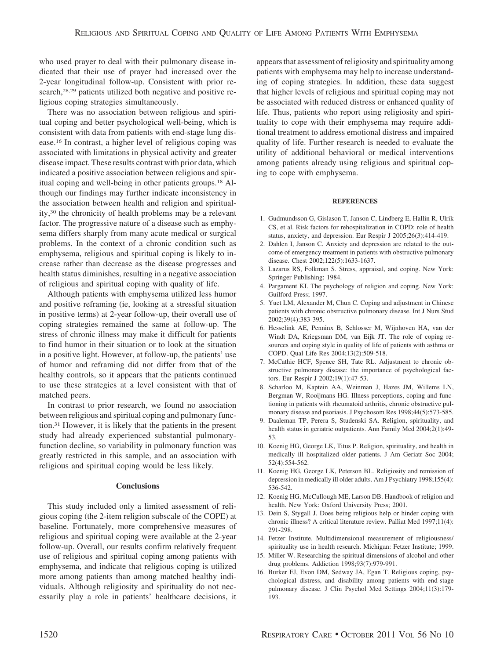who used prayer to deal with their pulmonary disease indicated that their use of prayer had increased over the 2-year longitudinal follow-up. Consistent with prior research,<sup>28,29</sup> patients utilized both negative and positive religious coping strategies simultaneously.

There was no association between religious and spiritual coping and better psychological well-being, which is consistent with data from patients with end-stage lung disease.16 In contrast, a higher level of religious coping was associated with limitations in physical activity and greater disease impact. These results contrast with prior data, which indicated a positive association between religious and spiritual coping and well-being in other patients groups.18 Although our findings may further indicate inconsistency in the association between health and religion and spirituality,30 the chronicity of health problems may be a relevant factor. The progressive nature of a disease such as emphysema differs sharply from many acute medical or surgical problems. In the context of a chronic condition such as emphysema, religious and spiritual coping is likely to increase rather than decrease as the disease progresses and health status diminishes, resulting in a negative association of religious and spiritual coping with quality of life.

Although patients with emphysema utilized less humor and positive reframing (ie, looking at a stressful situation in positive terms) at 2-year follow-up, their overall use of coping strategies remained the same at follow-up. The stress of chronic illness may make it difficult for patients to find humor in their situation or to look at the situation in a positive light. However, at follow-up, the patients' use of humor and reframing did not differ from that of the healthy controls, so it appears that the patients continued to use these strategies at a level consistent with that of matched peers.

In contrast to prior research, we found no association between religious and spiritual coping and pulmonary function.31 However, it is likely that the patients in the present study had already experienced substantial pulmonaryfunction decline, so variability in pulmonary function was greatly restricted in this sample, and an association with religious and spiritual coping would be less likely.

#### **Conclusions**

This study included only a limited assessment of religious coping (the 2-item religion subscale of the COPE) at baseline. Fortunately, more comprehensive measures of religious and spiritual coping were available at the 2-year follow-up. Overall, our results confirm relatively frequent use of religious and spiritual coping among patients with emphysema, and indicate that religious coping is utilized more among patients than among matched healthy individuals. Although religiosity and spirituality do not necessarily play a role in patients' healthcare decisions, it

appears that assessment of religiosity and spirituality among patients with emphysema may help to increase understanding of coping strategies. In addition, these data suggest that higher levels of religious and spiritual coping may not be associated with reduced distress or enhanced quality of life. Thus, patients who report using religiosity and spirituality to cope with their emphysema may require additional treatment to address emotional distress and impaired quality of life. Further research is needed to evaluate the utility of additional behavioral or medical interventions among patients already using religious and spiritual coping to cope with emphysema.

#### **REFERENCES**

- 1. Gudmundsson G, Gislason T, Janson C, Lindberg E, Hallin R, Ulrik CS, et al. Risk factors for rehospitalization in COPD: role of health status, anxiety, and depression. Eur Respir J 2005;26(3):414-419.
- 2. Dahlen I, Janson C. Anxiety and depression are related to the outcome of emergency treatment in patients with obstructive pulmonary disease. Chest 2002;122(5):1633-1637.
- 3. Lazarus RS, Folkman S. Stress, appraisal, and coping. New York: Springer Publishing; 1984.
- 4. Pargament KI. The psychology of religion and coping. New York: Guilford Press; 1997.
- 5. Yuet LM, Alexander M, Chun C. Coping and adjustment in Chinese patients with chronic obstructive pulmonary disease. Int J Nurs Stud 2002;39(4):383-395.
- 6. Hesselink AE, Penninx B, Schlosser M, Wijnhoven HA, van der Windt DA, Kriegsman DM, van Eijk JT. The role of coping resources and coping style in quality of life of patients with asthma or COPD. Qual Life Res 2004;13(2):509-518.
- 7. McCathie HCF, Spence SH, Tate RL. Adjustment to chronic obstructive pulmonary disease: the importance of psychological factors. Eur Respir J 2002;19(1):47-53.
- 8. Scharloo M, Kaptein AA, Weinman J, Hazes JM, Willems LN, Bergman W, Rooijmans HG. Illness perceptions, coping and functioning in patients with rheumatoid arthritis, chronic obstructive pulmonary disease and psoriasis. J Psychosom Res 1998;44(5):573-585.
- 9. Daaleman TP, Perera S, Studenski SA. Religion, spirituality, and health status in geriatric outpatients. Ann Family Med 2004;2(1):49- 53.
- 10. Koenig HG, George LK, Titus P. Religion, spirituality, and health in medically ill hospitalized older patients. J Am Geriatr Soc 2004; 52(4):554-562.
- 11. Koenig HG, George LK, Peterson BL. Religiosity and remission of depression in medically ill older adults. Am J Psychiatry 1998;155(4): 536-542.
- 12. Koenig HG, McCullough ME, Larson DB. Handbook of religion and health. New York: Oxford University Press; 2001.
- 13. Dein S, Stygall J. Does being religious help or hinder coping with chronic illness? A critical literature review. Palliat Med 1997;11(4): 291-298.
- 14. Fetzer Institute. Multidimensional measurement of religiousness/ spirituality use in health research. Michigan: Fetzer Institute; 1999.
- 15. Miller W. Researching the spiritual dimensions of alcohol and other drug problems. Addiction 1998;93(7):979-991.
- 16. Burker EJ, Evon DM, Sedway JA, Egan T. Religious coping, psychological distress, and disability among patients with end-stage pulmonary disease. J Clin Psychol Med Settings 2004;11(3):179- 193.